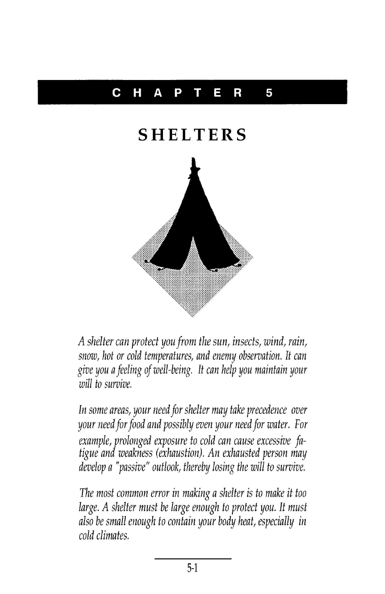## C HAP T E R 5

## **SHELTERS**



A shelter can protect you from the sun, insects, wind, rain, snow, hot or cold temperatures, and enemy observation. It can give you afeeling of well-being. It can help you maintain your will to survive.

In some areas, your need for shelter may take precedence over your need for food and possibly even your need for water. For exampie, proiongea exposure to coia can cause excessive ja-<br>tigue and weakness (exhaustion). An exhausted person may example, prolonged exposure to cold can cause excessive fadevelop a "passive" outlook, thereby losing the will to survive.

The most common error in making a shelter is to make it too large. A shelter must be large enough to protect you. It must also be small enough to contain your body heat, especially in cold climates.